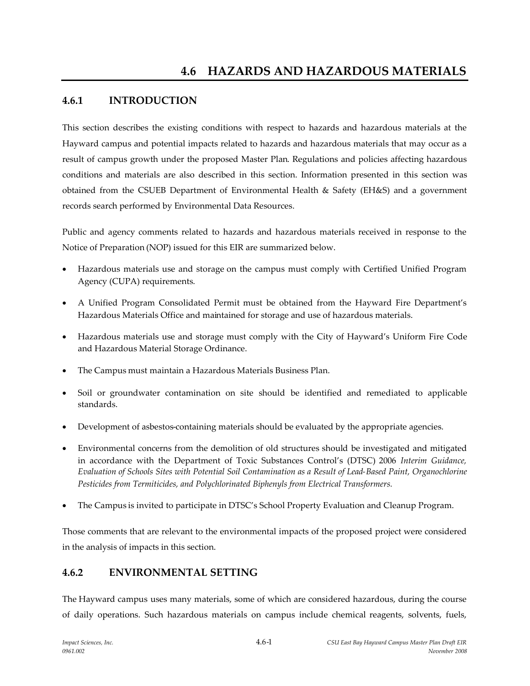# **4.6.1 INTRODUCTION**

This section describes the existing conditions with respect to hazards and hazardous materials at the Hayward campus and potential impacts related to hazards and hazardous materials that may occur as a result of campus growth under the proposed Master Plan. Regulations and policies affecting hazardous conditions and materials are also described in this section. Information presented in this section was obtained from the CSUEB Department of Environmental Health & Safety (EH&S) and a government records search performed by Environmental Data Resources.

Public and agency comments related to hazards and hazardous materials received in response to the Notice of Preparation (NOP) issued for this EIR are summarized below.

- Hazardous materials use and storage on the campus must comply with Certified Unified Program Agency (CUPA) requirements.
- A Unified Program Consolidated Permit must be obtained from the Hayward Fire Department's Hazardous Materials Office and maintained for storage and use of hazardous materials.
- Hazardous materials use and storage must comply with the City of Hayward's Uniform Fire Code and Hazardous Material Storage Ordinance.
- The Campus must maintain a Hazardous Materials Business Plan.
- Soil or groundwater contamination on site should be identified and remediated to applicable standards.
- Development of asbestos-containing materials should be evaluated by the appropriate agencies.
- Environmental concerns from the demolition of old structures should be investigated and mitigated in accordance with the Department of Toxic Substances Control's (DTSC) 2006 *Interim Guidance, Evaluation of Schools Sites with Potential Soil Contamination as a Result of Lead-Based Paint, Organochlorine Pesticides from Termiticides, and Polychlorinated Biphenyls from Electrical Transformers.*
- The Campus is invited to participate in DTSC's School Property Evaluation and Cleanup Program.

Those comments that are relevant to the environmental impacts of the proposed project were considered in the analysis of impacts in this section.

# **4.6.2 ENVIRONMENTAL SETTING**

The Hayward campus uses many materials, some of which are considered hazardous, during the course of daily operations. Such hazardous materials on campus include chemical reagents, solvents, fuels,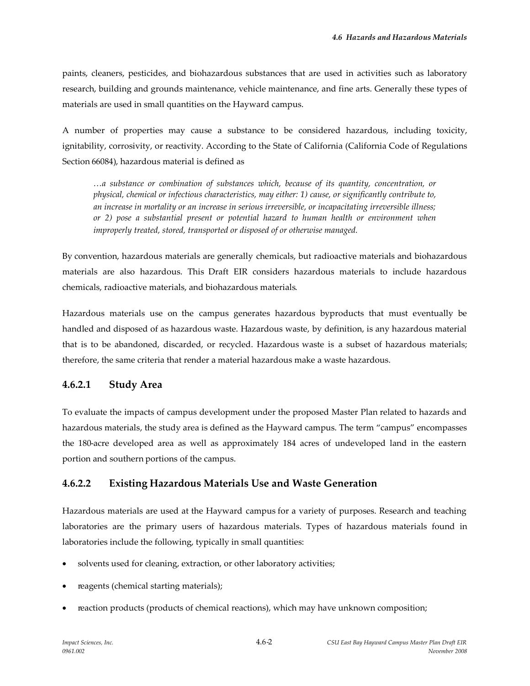paints, cleaners, pesticides, and biohazardous substances that are used in activities such as laboratory research, building and grounds maintenance, vehicle maintenance, and fine arts. Generally these types of materials are used in small quantities on the Hayward campus.

A number of properties may cause a substance to be considered hazardous, including toxicity, ignitability, corrosivity, or reactivity. According to the State of California (California Code of Regulations Section 66084), hazardous material is defined as

*…a substance or combination of substances which, because of its quantity, concentration, or physical, chemical or infectious characteristics, may either: 1) cause, or significantly contribute to, an increase in mortality or an increase in serious irreversible, or incapacitating irreversible illness; or 2) pose a substantial present or potential hazard to human health or environment when improperly treated, stored, transported or disposed of or otherwise managed.*

By convention, hazardous materials are generally chemicals, but radioactive materials and biohazardous materials are also hazardous. This Draft EIR considers hazardous materials to include hazardous chemicals, radioactive materials, and biohazardous materials.

Hazardous materials use on the campus generates hazardous byproducts that must eventually be handled and disposed of as hazardous waste. Hazardous waste, by definition, is any hazardous material that is to be abandoned, discarded, or recycled. Hazardous waste is a subset of hazardous materials; therefore, the same criteria that render a material hazardous make a waste hazardous.

### **4.6.2.1 Study Area**

To evaluate the impacts of campus development under the proposed Master Plan related to hazards and hazardous materials, the study area is defined as the Hayward campus. The term "campus" encompasses the 180-acre developed area as well as approximately 184 acres of undeveloped land in the eastern portion and southern portions of the campus.

## **4.6.2.2 Existing Hazardous Materials Use and Waste Generation**

Hazardous materials are used at the Hayward campus for a variety of purposes. Research and teaching laboratories are the primary users of hazardous materials. Types of hazardous materials found in laboratories include the following, typically in small quantities:

- solvents used for cleaning, extraction, or other laboratory activities;
- reagents (chemical starting materials);
- reaction products (products of chemical reactions), which may have unknown composition;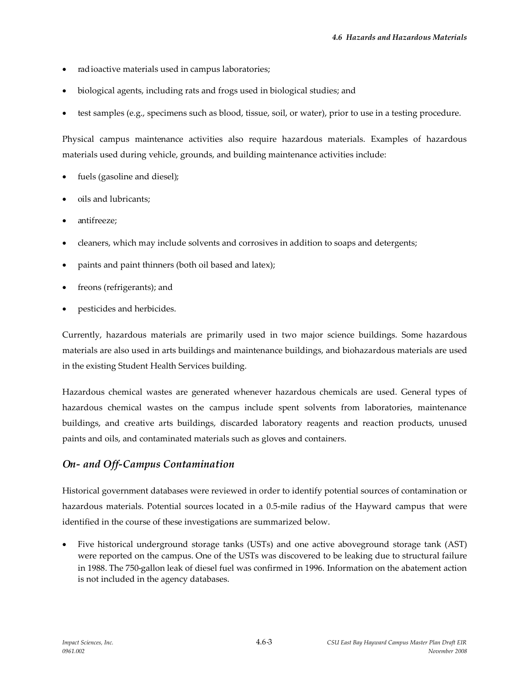- radioactive materials used in campus laboratories;
- biological agents, including rats and frogs used in biological studies; and
- test samples (e.g., specimens such as blood, tissue, soil, or water), prior to use in a testing procedure.

Physical campus maintenance activities also require hazardous materials. Examples of hazardous materials used during vehicle, grounds, and building maintenance activities include:

- fuels (gasoline and diesel);
- oils and lubricants;
- antifreeze;
- cleaners, which may include solvents and corrosives in addition to soaps and detergents;
- paints and paint thinners (both oil based and latex);
- freons (refrigerants); and
- pesticides and herbicides.

Currently, hazardous materials are primarily used in two major science buildings. Some hazardous materials are also used in arts buildings and maintenance buildings, and biohazardous materials are used in the existing Student Health Services building.

Hazardous chemical wastes are generated whenever hazardous chemicals are used. General types of hazardous chemical wastes on the campus include spent solvents from laboratories, maintenance buildings, and creative arts buildings, discarded laboratory reagents and reaction products, unused paints and oils, and contaminated materials such as gloves and containers.

### *On- and Off-Campus Contamination*

Historical government databases were reviewed in order to identify potential sources of contamination or hazardous materials. Potential sources located in a 0.5-mile radius of the Hayward campus that were identified in the course of these investigations are summarized below.

 Five historical underground storage tanks (USTs) and one active aboveground storage tank (AST) were reported on the campus. One of the USTs was discovered to be leaking due to structural failure in 1988. The 750-gallon leak of diesel fuel was confirmed in 1996. Information on the abatement action is not included in the agency databases.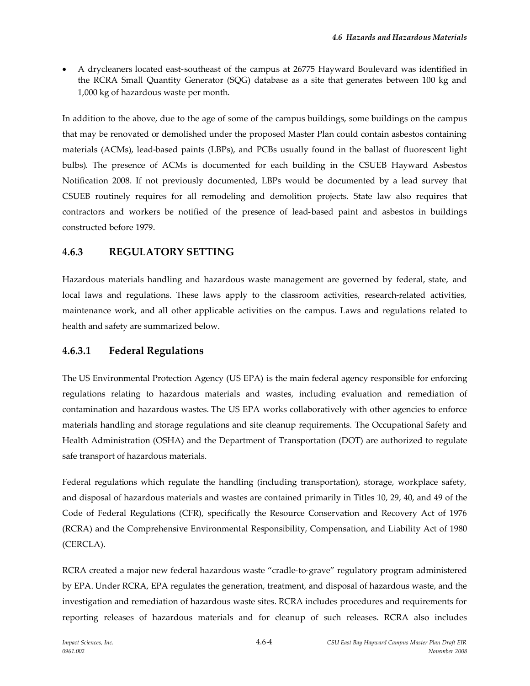A drycleaners located east-southeast of the campus at 26775 Hayward Boulevard was identified in the RCRA Small Quantity Generator (SQG) database as a site that generates between 100 kg and 1,000 kg of hazardous waste per month.

In addition to the above, due to the age of some of the campus buildings, some buildings on the campus that may be renovated or demolished under the proposed Master Plan could contain asbestos containing materials (ACMs), lead-based paints (LBPs), and PCBs usually found in the ballast of fluorescent light bulbs). The presence of ACMs is documented for each building in the CSUEB Hayward Asbestos Notification 2008. If not previously documented, LBPs would be documented by a lead survey that CSUEB routinely requires for all remodeling and demolition projects. State law also requires that contractors and workers be notified of the presence of lead-based paint and asbestos in buildings constructed before 1979.

### **4.6.3 REGULATORY SETTING**

Hazardous materials handling and hazardous waste management are governed by federal, state, and local laws and regulations. These laws apply to the classroom activities, research-related activities, maintenance work, and all other applicable activities on the campus. Laws and regulations related to health and safety are summarized below.

### **4.6.3.1 Federal Regulations**

The US Environmental Protection Agency (US EPA) is the main federal agency responsible for enforcing regulations relating to hazardous materials and wastes, including evaluation and remediation of contamination and hazardous wastes. The US EPA works collaboratively with other agencies to enforce materials handling and storage regulations and site cleanup requirements. The Occupational Safety and Health Administration (OSHA) and the Department of Transportation (DOT) are authorized to regulate safe transport of hazardous materials.

Federal regulations which regulate the handling (including transportation), storage, workplace safety, and disposal of hazardous materials and wastes are contained primarily in Titles 10, 29, 40, and 49 of the Code of Federal Regulations (CFR), specifically the Resource Conservation and Recovery Act of 1976 (RCRA) and the Comprehensive Environmental Responsibility, Compensation, and Liability Act of 1980 (CERCLA).

RCRA created a major new federal hazardous waste "cradle-to-grave" regulatory program administered by EPA. Under RCRA, EPA regulates the generation, treatment, and disposal of hazardous waste, and the investigation and remediation of hazardous waste sites. RCRA includes procedures and requirements for reporting releases of hazardous materials and for cleanup of such releases. RCRA also includes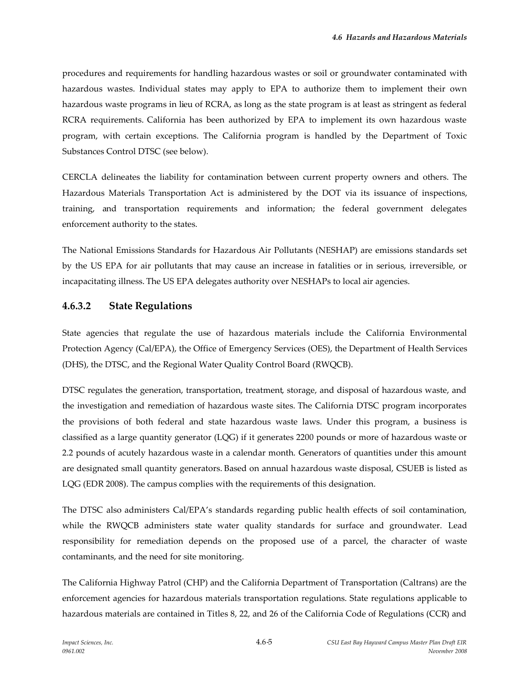procedures and requirements for handling hazardous wastes or soil or groundwater contaminated with hazardous wastes. Individual states may apply to EPA to authorize them to implement their own hazardous waste programs in lieu of RCRA, as long as the state program is at least as stringent as federal RCRA requirements. California has been authorized by EPA to implement its own hazardous waste program, with certain exceptions. The California program is handled by the Department of Toxic Substances Control DTSC (see below).

CERCLA delineates the liability for contamination between current property owners and others. The Hazardous Materials Transportation Act is administered by the DOT via its issuance of inspections, training, and transportation requirements and information; the federal government delegates enforcement authority to the states.

The National Emissions Standards for Hazardous Air Pollutants (NESHAP) are emissions standards set by the US EPA for air pollutants that may cause an increase in fatalities or in serious, irreversible, or incapacitating illness. The US EPA delegates authority over NESHAPs to local air agencies.

## **4.6.3.2 State Regulations**

State agencies that regulate the use of hazardous materials include the California Environmental Protection Agency (Cal/EPA), the Office of Emergency Services (OES), the Department of Health Services (DHS), the DTSC, and the Regional Water Quality Control Board (RWQCB).

DTSC regulates the generation, transportation, treatment, storage, and disposal of hazardous waste, and the investigation and remediation of hazardous waste sites. The California DTSC program incorporates the provisions of both federal and state hazardous waste laws. Under this program, a business is classified as a large quantity generator (LQG) if it generates 2200 pounds or more of hazardous waste or 2.2 pounds of acutely hazardous waste in a calendar month. Generators of quantities under this amount are designated small quantity generators. Based on annual hazardous waste disposal, CSUEB is listed as LQG (EDR 2008). The campus complies with the requirements of this designation.

The DTSC also administers Cal/EPA's standards regarding public health effects of soil contamination, while the RWQCB administers state water quality standards for surface and groundwater. Lead responsibility for remediation depends on the proposed use of a parcel, the character of waste contaminants, and the need for site monitoring.

The California Highway Patrol (CHP) and the California Department of Transportation (Caltrans) are the enforcement agencies for hazardous materials transportation regulations. State regulations applicable to hazardous materials are contained in Titles 8, 22, and 26 of the California Code of Regulations (CCR) and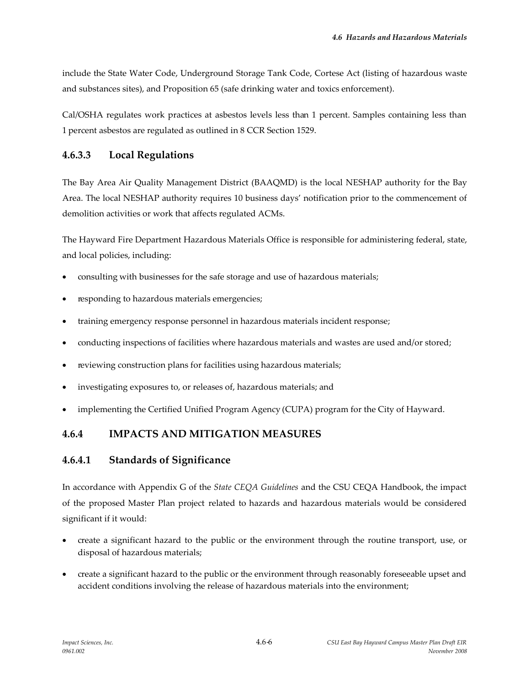include the State Water Code, Underground Storage Tank Code, Cortese Act (listing of hazardous waste and substances sites), and Proposition 65 (safe drinking water and toxics enforcement).

Cal/OSHA regulates work practices at asbestos levels less than 1 percent. Samples containing less than 1 percent asbestos are regulated as outlined in 8 CCR Section 1529.

## **4.6.3.3 Local Regulations**

The Bay Area Air Quality Management District (BAAQMD) is the local NESHAP authority for the Bay Area. The local NESHAP authority requires 10 business days' notification prior to the commencement of demolition activities or work that affects regulated ACMs.

The Hayward Fire Department Hazardous Materials Office is responsible for administering federal, state, and local policies, including:

- consulting with businesses for the safe storage and use of hazardous materials;
- responding to hazardous materials emergencies;
- training emergency response personnel in hazardous materials incident response;
- conducting inspections of facilities where hazardous materials and wastes are used and/or stored;
- reviewing construction plans for facilities using hazardous materials;
- investigating exposures to, or releases of, hazardous materials; and
- implementing the Certified Unified Program Agency (CUPA) program for the City of Hayward.

## **4.6.4 IMPACTS AND MITIGATION MEASURES**

### **4.6.4.1 Standards of Significance**

In accordance with Appendix G of the *State CEQA Guidelines* and the CSU CEQA Handbook, the impact of the proposed Master Plan project related to hazards and hazardous materials would be considered significant if it would:

- create a significant hazard to the public or the environment through the routine transport, use, or disposal of hazardous materials;
- create a significant hazard to the public or the environment through reasonably foreseeable upset and accident conditions involving the release of hazardous materials into the environment;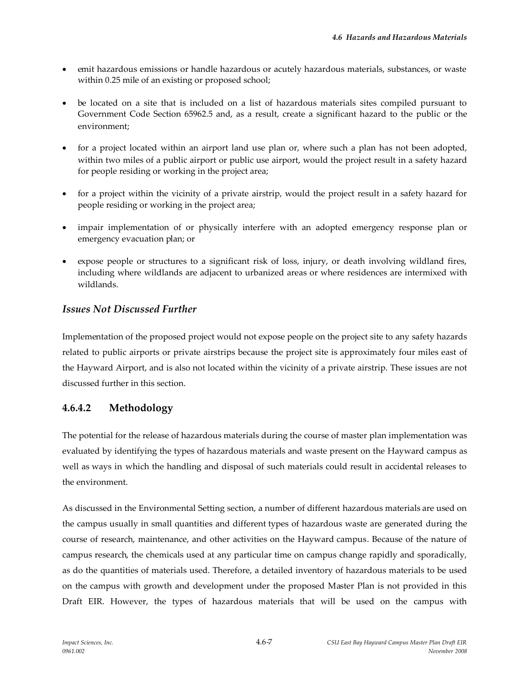- emit hazardous emissions or handle hazardous or acutely hazardous materials, substances, or waste within 0.25 mile of an existing or proposed school;
- be located on a site that is included on a list of hazardous materials sites compiled pursuant to Government Code Section 65962.5 and, as a result, create a significant hazard to the public or the environment;
- for a project located within an airport land use plan or, where such a plan has not been adopted, within two miles of a public airport or public use airport, would the project result in a safety hazard for people residing or working in the project area;
- for a project within the vicinity of a private airstrip, would the project result in a safety hazard for people residing or working in the project area;
- impair implementation of or physically interfere with an adopted emergency response plan or emergency evacuation plan; or
- expose people or structures to a significant risk of loss, injury, or death involving wildland fires, including where wildlands are adjacent to urbanized areas or where residences are intermixed with wildlands.

## *Issues Not Discussed Further*

Implementation of the proposed project would not expose people on the project site to any safety hazards related to public airports or private airstrips because the project site is approximately four miles east of the Hayward Airport, and is also not located within the vicinity of a private airstrip. These issues are not discussed further in this section.

## **4.6.4.2 Methodology**

The potential for the release of hazardous materials during the course of master plan implementation was evaluated by identifying the types of hazardous materials and waste present on the Hayward campus as well as ways in which the handling and disposal of such materials could result in accidental releases to the environment.

As discussed in the Environmental Setting section, a number of different hazardous materials are used on the campus usually in small quantities and different types of hazardous waste are generated during the course of research, maintenance, and other activities on the Hayward campus. Because of the nature of campus research, the chemicals used at any particular time on campus change rapidly and sporadically, as do the quantities of materials used. Therefore, a detailed inventory of hazardous materials to be used on the campus with growth and development under the proposed Master Plan is not provided in this Draft EIR. However, the types of hazardous materials that will be used on the campus with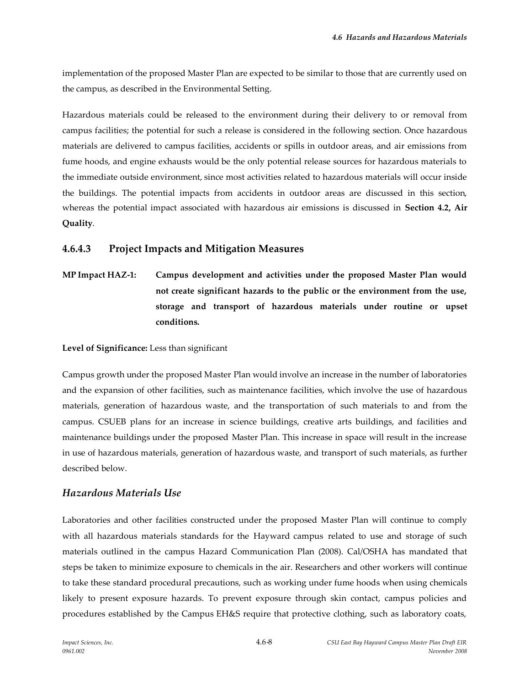implementation of the proposed Master Plan are expected to be similar to those that are currently used on the campus, as described in the Environmental Setting.

Hazardous materials could be released to the environment during their delivery to or removal from campus facilities; the potential for such a release is considered in the following section. Once hazardous materials are delivered to campus facilities, accidents or spills in outdoor areas, and air emissions from fume hoods, and engine exhausts would be the only potential release sources for hazardous materials to the immediate outside environment, since most activities related to hazardous materials will occur inside the buildings. The potential impacts from accidents in outdoor areas are discussed in this section, whereas the potential impact associated with hazardous air emissions is discussed in **Section 4.2, Air Quality**.

## **4.6.4.3 Project Impacts and Mitigation Measures**

**MP Impact HAZ-1: Campus development and activities under the proposed Master Plan would not create significant hazards to the public or the environment from the use, storage and transport of hazardous materials under routine or upset conditions.**

**Level of Significance:** Less than significant

Campus growth under the proposed Master Plan would involve an increase in the number of laboratories and the expansion of other facilities, such as maintenance facilities, which involve the use of hazardous materials, generation of hazardous waste, and the transportation of such materials to and from the campus. CSUEB plans for an increase in science buildings, creative arts buildings, and facilities and maintenance buildings under the proposed Master Plan. This increase in space will result in the increase in use of hazardous materials, generation of hazardous waste, and transport of such materials, as further described below.

### *Hazardous Materials Use*

Laboratories and other facilities constructed under the proposed Master Plan will continue to comply with all hazardous materials standards for the Hayward campus related to use and storage of such materials outlined in the campus Hazard Communication Plan (2008). Cal/OSHA has mandated that steps be taken to minimize exposure to chemicals in the air. Researchers and other workers will continue to take these standard procedural precautions, such as working under fume hoods when using chemicals likely to present exposure hazards. To prevent exposure through skin contact, campus policies and procedures established by the Campus EH&S require that protective clothing, such as laboratory coats,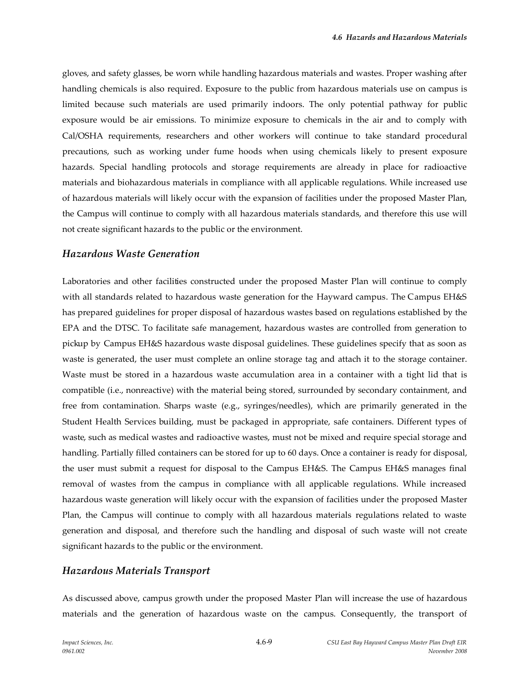gloves, and safety glasses, be worn while handling hazardous materials and wastes. Proper washing after handling chemicals is also required. Exposure to the public from hazardous materials use on campus is limited because such materials are used primarily indoors. The only potential pathway for public exposure would be air emissions. To minimize exposure to chemicals in the air and to comply with Cal/OSHA requirements, researchers and other workers will continue to take standard procedural precautions, such as working under fume hoods when using chemicals likely to present exposure hazards. Special handling protocols and storage requirements are already in place for radioactive materials and biohazardous materials in compliance with all applicable regulations. While increased use of hazardous materials will likely occur with the expansion of facilities under the proposed Master Plan, the Campus will continue to comply with all hazardous materials standards, and therefore this use will not create significant hazards to the public or the environment.

#### *Hazardous Waste Generation*

Laboratories and other facilities constructed under the proposed Master Plan will continue to comply with all standards related to hazardous waste generation for the Hayward campus. The Campus EH&S has prepared guidelines for proper disposal of hazardous wastes based on regulations established by the EPA and the DTSC. To facilitate safe management, hazardous wastes are controlled from generation to pickup by Campus EH&S hazardous waste disposal guidelines. These guidelines specify that as soon as waste is generated, the user must complete an online storage tag and attach it to the storage container. Waste must be stored in a hazardous waste accumulation area in a container with a tight lid that is compatible (i.e., nonreactive) with the material being stored, surrounded by secondary containment, and free from contamination. Sharps waste (e.g., syringes/needles), which are primarily generated in the Student Health Services building, must be packaged in appropriate, safe containers. Different types of waste, such as medical wastes and radioactive wastes, must not be mixed and require special storage and handling. Partially filled containers can be stored for up to 60 days. Once a container is ready for disposal, the user must submit a request for disposal to the Campus EH&S. The Campus EH&S manages final removal of wastes from the campus in compliance with all applicable regulations. While increased hazardous waste generation will likely occur with the expansion of facilities under the proposed Master Plan, the Campus will continue to comply with all hazardous materials regulations related to waste generation and disposal, and therefore such the handling and disposal of such waste will not create significant hazards to the public or the environment.

#### *Hazardous Materials Transport*

As discussed above, campus growth under the proposed Master Plan will increase the use of hazardous materials and the generation of hazardous waste on the campus. Consequently, the transport of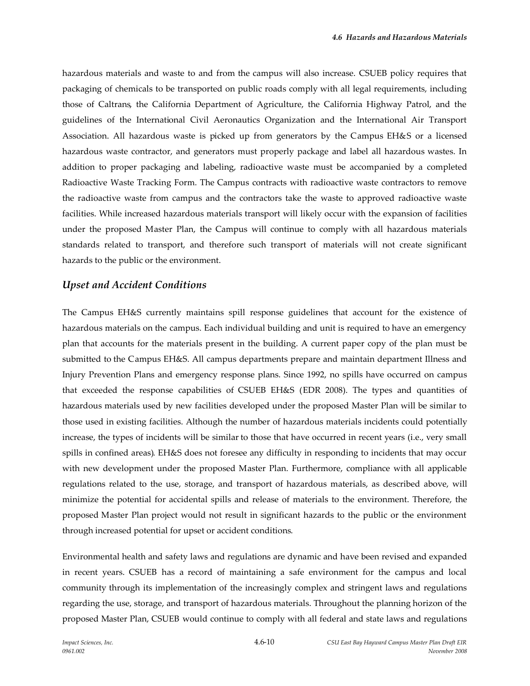hazardous materials and waste to and from the campus will also increase. CSUEB policy requires that packaging of chemicals to be transported on public roads comply with all legal requirements, including those of Caltrans, the California Department of Agriculture, the California Highway Patrol, and the guidelines of the International Civil Aeronautics Organization and the International Air Transport Association. All hazardous waste is picked up from generators by the Campus EH&S or a licensed hazardous waste contractor, and generators must properly package and label all hazardous wastes. In addition to proper packaging and labeling, radioactive waste must be accompanied by a completed Radioactive Waste Tracking Form. The Campus contracts with radioactive waste contractors to remove the radioactive waste from campus and the contractors take the waste to approved radioactive waste facilities. While increased hazardous materials transport will likely occur with the expansion of facilities under the proposed Master Plan, the Campus will continue to comply with all hazardous materials standards related to transport, and therefore such transport of materials will not create significant hazards to the public or the environment.

#### *Upset and Accident Conditions*

The Campus EH&S currently maintains spill response guidelines that account for the existence of hazardous materials on the campus. Each individual building and unit is required to have an emergency plan that accounts for the materials present in the building. A current paper copy of the plan must be submitted to the Campus EH&S. All campus departments prepare and maintain department Illness and Injury Prevention Plans and emergency response plans. Since 1992, no spills have occurred on campus that exceeded the response capabilities of CSUEB EH&S (EDR 2008). The types and quantities of hazardous materials used by new facilities developed under the proposed Master Plan will be similar to those used in existing facilities. Although the number of hazardous materials incidents could potentially increase, the types of incidents will be similar to those that have occurred in recent years (i.e., very small spills in confined areas). EH&S does not foresee any difficulty in responding to incidents that may occur with new development under the proposed Master Plan. Furthermore, compliance with all applicable regulations related to the use, storage, and transport of hazardous materials, as described above, will minimize the potential for accidental spills and release of materials to the environment. Therefore, the proposed Master Plan project would not result in significant hazards to the public or the environment through increased potential for upset or accident conditions.

Environmental health and safety laws and regulations are dynamic and have been revised and expanded in recent years. CSUEB has a record of maintaining a safe environment for the campus and local community through its implementation of the increasingly complex and stringent laws and regulations regarding the use, storage, and transport of hazardous materials. Throughout the planning horizon of the proposed Master Plan, CSUEB would continue to comply with all federal and state laws and regulations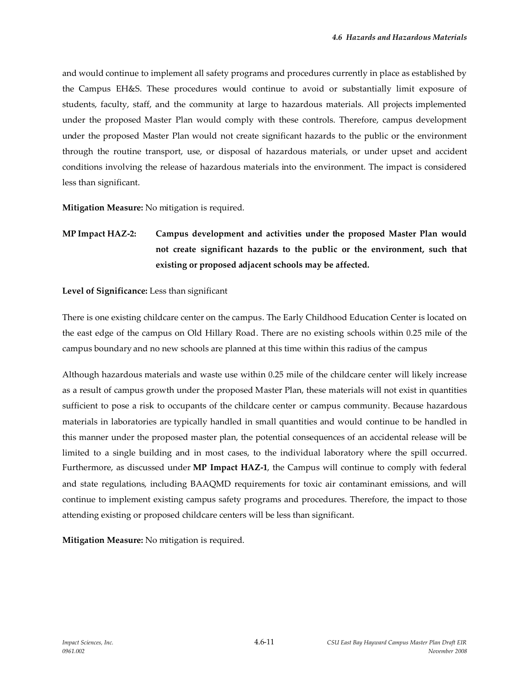and would continue to implement all safety programs and procedures currently in place as established by the Campus EH&S. These procedures would continue to avoid or substantially limit exposure of students, faculty, staff, and the community at large to hazardous materials. All projects implemented under the proposed Master Plan would comply with these controls. Therefore, campus development under the proposed Master Plan would not create significant hazards to the public or the environment through the routine transport, use, or disposal of hazardous materials, or under upset and accident conditions involving the release of hazardous materials into the environment. The impact is considered less than significant.

**Mitigation Measure:** No mitigation is required.

**MP Impact HAZ-2: Campus development and activities under the proposed Master Plan would not create significant hazards to the public or the environment, such that existing or proposed adjacent schools may be affected.**

#### **Level of Significance:** Less than significant

There is one existing childcare center on the campus. The Early Childhood Education Center is located on the east edge of the campus on Old Hillary Road. There are no existing schools within 0.25 mile of the campus boundary and no new schools are planned at this time within this radius of the campus

Although hazardous materials and waste use within 0.25 mile of the childcare center will likely increase as a result of campus growth under the proposed Master Plan, these materials will not exist in quantities sufficient to pose a risk to occupants of the childcare center or campus community. Because hazardous materials in laboratories are typically handled in small quantities and would continue to be handled in this manner under the proposed master plan, the potential consequences of an accidental release will be limited to a single building and in most cases, to the individual laboratory where the spill occurred. Furthermore, as discussed under **MP Impact HAZ-1**, the Campus will continue to comply with federal and state regulations, including BAAQMD requirements for toxic air contaminant emissions, and will continue to implement existing campus safety programs and procedures. Therefore, the impact to those attending existing or proposed childcare centers will be less than significant.

**Mitigation Measure:** No mitigation is required.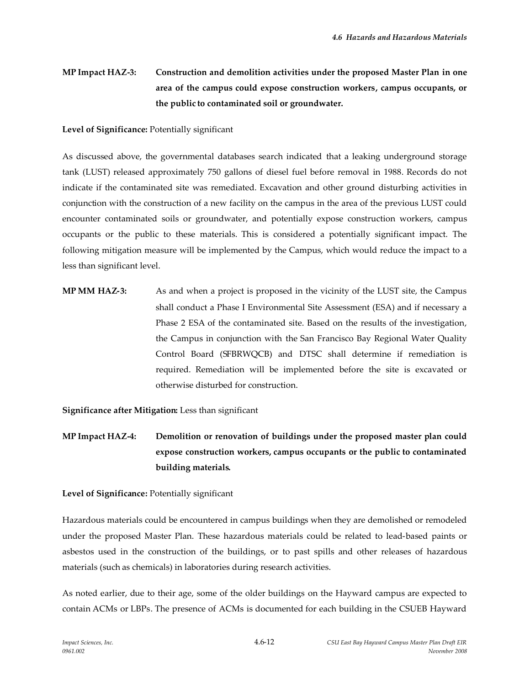# **MP Impact HAZ-3: Construction and demolition activities under the proposed Master Plan in one area of the campus could expose construction workers, campus occupants, or the public to contaminated soil or groundwater.**

#### **Level of Significance:** Potentially significant

As discussed above, the governmental databases search indicated that a leaking underground storage tank (LUST) released approximately 750 gallons of diesel fuel before removal in 1988. Records do not indicate if the contaminated site was remediated. Excavation and other ground disturbing activities in conjunction with the construction of a new facility on the campus in the area of the previous LUST could encounter contaminated soils or groundwater, and potentially expose construction workers, campus occupants or the public to these materials. This is considered a potentially significant impact. The following mitigation measure will be implemented by the Campus, which would reduce the impact to a less than significant level.

**MP MM HAZ-3:** As and when a project is proposed in the vicinity of the LUST site, the Campus shall conduct a Phase I Environmental Site Assessment (ESA) and if necessary a Phase 2 ESA of the contaminated site. Based on the results of the investigation, the Campus in conjunction with the San Francisco Bay Regional Water Quality Control Board (SFBRWQCB) and DTSC shall determine if remediation is required. Remediation will be implemented before the site is excavated or otherwise disturbed for construction.

**Significance after Mitigation:** Less than significant

**MP Impact HAZ-4: Demolition or renovation of buildings under the proposed master plan could expose construction workers, campus occupants or the public to contaminated building materials.**

#### **Level of Significance:** Potentially significant

Hazardous materials could be encountered in campus buildings when they are demolished or remodeled under the proposed Master Plan. These hazardous materials could be related to lead-based paints or asbestos used in the construction of the buildings, or to past spills and other releases of hazardous materials (such as chemicals) in laboratories during research activities.

As noted earlier, due to their age, some of the older buildings on the Hayward campus are expected to contain ACMs or LBPs. The presence of ACMs is documented for each building in the CSUEB Hayward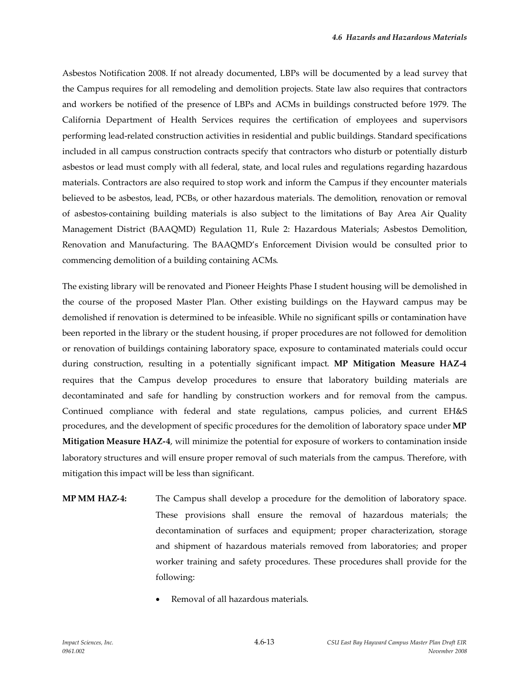Asbestos Notification 2008. If not already documented, LBPs will be documented by a lead survey that the Campus requires for all remodeling and demolition projects. State law also requires that contractors and workers be notified of the presence of LBPs and ACMs in buildings constructed before 1979. The California Department of Health Services requires the certification of employees and supervisors performing lead-related construction activities in residential and public buildings. Standard specifications included in all campus construction contracts specify that contractors who disturb or potentially disturb asbestos or lead must comply with all federal, state, and local rules and regulations regarding hazardous materials. Contractors are also required to stop work and inform the Campus if they encounter materials believed to be asbestos, lead, PCBs, or other hazardous materials. The demolition, renovation or removal of asbestos-containing building materials is also subject to the limitations of Bay Area Air Quality Management District (BAAQMD) Regulation 11, Rule 2: Hazardous Materials; Asbestos Demolition, Renovation and Manufacturing. The BAAQMD's Enforcement Division would be consulted prior to commencing demolition of a building containing ACMs.

The existing library will be renovated and Pioneer Heights Phase I student housing will be demolished in the course of the proposed Master Plan*.* Other existing buildings on the Hayward campus may be demolished if renovation is determined to be infeasible. While no significant spills or contamination have been reported in the library or the student housing, if proper procedures are not followed for demolition or renovation of buildings containing laboratory space, exposure to contaminated materials could occur during construction, resulting in a potentially significant impact. **MP Mitigation Measure HAZ-4** requires that the Campus develop procedures to ensure that laboratory building materials are decontaminated and safe for handling by construction workers and for removal from the campus. Continued compliance with federal and state regulations, campus policies, and current EH&S procedures, and the development of specific procedures for the demolition of laboratory space under **MP Mitigation Measure HAZ-4**, will minimize the potential for exposure of workers to contamination inside laboratory structures and will ensure proper removal of such materials from the campus. Therefore, with mitigation this impact will be less than significant.

- **MP MM HAZ-4:** The Campus shall develop a procedure for the demolition of laboratory space. These provisions shall ensure the removal of hazardous materials; the decontamination of surfaces and equipment; proper characterization, storage and shipment of hazardous materials removed from laboratories; and proper worker training and safety procedures. These procedures shall provide for the following:
	- Removal of all hazardous materials.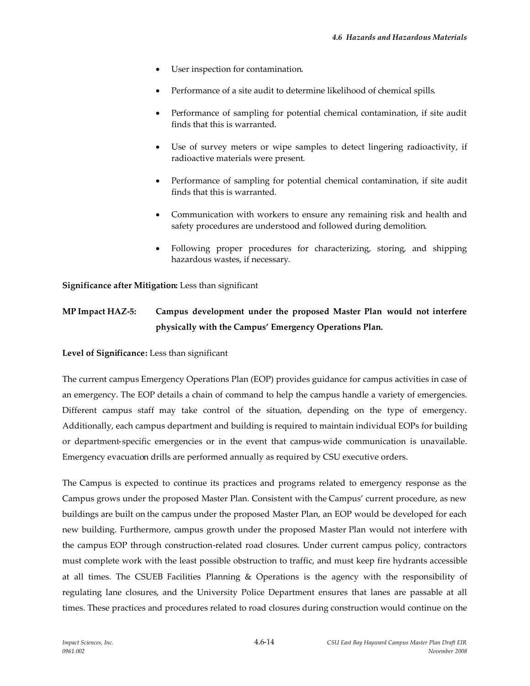- User inspection for contamination.
- Performance of a site audit to determine likelihood of chemical spills.
- Performance of sampling for potential chemical contamination, if site audit finds that this is warranted.
- Use of survey meters or wipe samples to detect lingering radioactivity, if radioactive materials were present.
- Performance of sampling for potential chemical contamination, if site audit finds that this is warranted.
- Communication with workers to ensure any remaining risk and health and safety procedures are understood and followed during demolition.
- Following proper procedures for characterizing, storing, and shipping hazardous wastes, if necessary.

**Significance after Mitigation:** Less than significant

# **MP Impact HAZ-5: Campus development under the proposed Master Plan would not interfere physically with the Campus' Emergency Operations Plan.**

**Level of Significance:** Less than significant

The current campus Emergency Operations Plan (EOP) provides guidance for campus activities in case of an emergency. The EOP details a chain of command to help the campus handle a variety of emergencies. Different campus staff may take control of the situation, depending on the type of emergency. Additionally, each campus department and building is required to maintain individual EOPs for building or department-specific emergencies or in the event that campus-wide communication is unavailable. Emergency evacuation drills are performed annually as required by CSU executive orders.

The Campus is expected to continue its practices and programs related to emergency response as the Campus grows under the proposed Master Plan. Consistent with the Campus' current procedure, as new buildings are built on the campus under the proposed Master Plan, an EOP would be developed for each new building. Furthermore, campus growth under the proposed Master Plan would not interfere with the campus EOP through construction-related road closures. Under current campus policy, contractors must complete work with the least possible obstruction to traffic, and must keep fire hydrants accessible at all times. The CSUEB Facilities Planning & Operations is the agency with the responsibility of regulating lane closures, and the University Police Department ensures that lanes are passable at all times. These practices and procedures related to road closures during construction would continue on the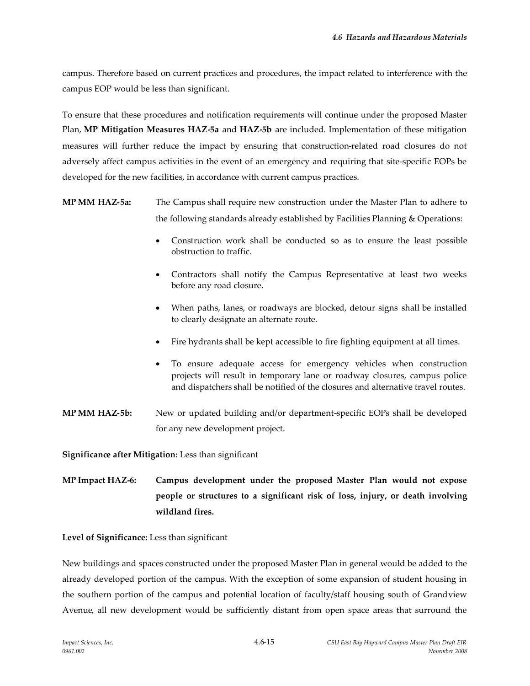campus. Therefore based on current practices and procedures, the impact related to interference with the campus EOP would be less than significant.

To ensure that these procedures and notification requirements will continue under the proposed Master Plan, **MP Mitigation Measures HAZ-5a** and **HAZ-5b** are included. Implementation of these mitigation measures will further reduce the impact by ensuring that construction-related road closures do not adversely affect campus activities in the event of an emergency and requiring that site-specific EOPs be developed for the new facilities, in accordance with current campus practices.

- **MP MM HAZ-5a:** The Campus shall require new construction under the Master Plan to adhere to the following standards already established by Facilities Planning & Operations:
	- Construction work shall be conducted so as to ensure the least possible obstruction to traffic.
	- Contractors shall notify the Campus Representative at least two weeks before any road closure.
	- When paths, lanes, or roadways are blocked, detour signs shall be installed to clearly designate an alternate route.
	- Fire hydrants shall be kept accessible to fire fighting equipment at all times.
	- To ensure adequate access for emergency vehicles when construction projects will result in temporary lane or roadway closures, campus police and dispatchers shall be notified of the closures and alternative travel routes.
- **MP MM HAZ-5b:** New or updated building and/or department-specific EOPs shall be developed for any new development project.

**Significance after Mitigation:** Less than significant

**MP Impact HAZ-6: Campus development under the proposed Master Plan would not expose people or structures to a significant risk of loss, injury, or death involving wildland fires.**

**Level of Significance:** Less than significant

New buildings and spaces constructed under the proposed Master Plan in general would be added to the already developed portion of the campus. With the exception of some expansion of student housing in the southern portion of the campus and potential location of faculty/staff housing south of Grandview Avenue, all new development would be sufficiently distant from open space areas that surround the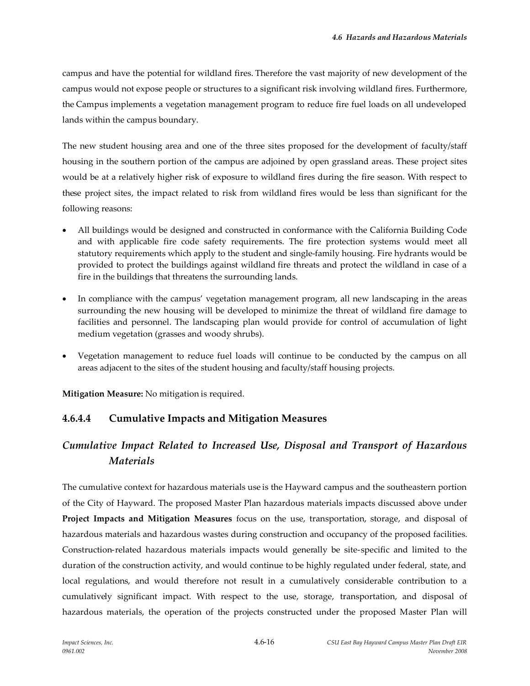campus and have the potential for wildland fires. Therefore the vast majority of new development of the campus would not expose people or structures to a significant risk involving wildland fires. Furthermore, the Campus implements a vegetation management program to reduce fire fuel loads on all undeveloped lands within the campus boundary.

The new student housing area and one of the three sites proposed for the development of faculty/staff housing in the southern portion of the campus are adjoined by open grassland areas. These project sites would be at a relatively higher risk of exposure to wildland fires during the fire season. With respect to these project sites, the impact related to risk from wildland fires would be less than significant for the following reasons:

- All buildings would be designed and constructed in conformance with the California Building Code and with applicable fire code safety requirements. The fire protection systems would meet all statutory requirements which apply to the student and single-family housing. Fire hydrants would be provided to protect the buildings against wildland fire threats and protect the wildland in case of a fire in the buildings that threatens the surrounding lands.
- In compliance with the campus' vegetation management program, all new landscaping in the areas surrounding the new housing will be developed to minimize the threat of wildland fire damage to facilities and personnel. The landscaping plan would provide for control of accumulation of light medium vegetation (grasses and woody shrubs).
- Vegetation management to reduce fuel loads will continue to be conducted by the campus on all areas adjacent to the sites of the student housing and faculty/staff housing projects.

**Mitigation Measure:** No mitigation is required.

## **4.6.4.4 Cumulative Impacts and Mitigation Measures**

# *Cumulative Impact Related to Increased Use, Disposal and Transport of Hazardous Materials*

The cumulative context for hazardous materials use is the Hayward campus and the southeastern portion of the City of Hayward. The proposed Master Plan hazardous materials impacts discussed above under **Project Impacts and Mitigation Measures** focus on the use, transportation, storage, and disposal of hazardous materials and hazardous wastes during construction and occupancy of the proposed facilities. Construction-related hazardous materials impacts would generally be site-specific and limited to the duration of the construction activity, and would continue to be highly regulated under federal, state, and local regulations, and would therefore not result in a cumulatively considerable contribution to a cumulatively significant impact. With respect to the use, storage, transportation, and disposal of hazardous materials, the operation of the projects constructed under the proposed Master Plan will